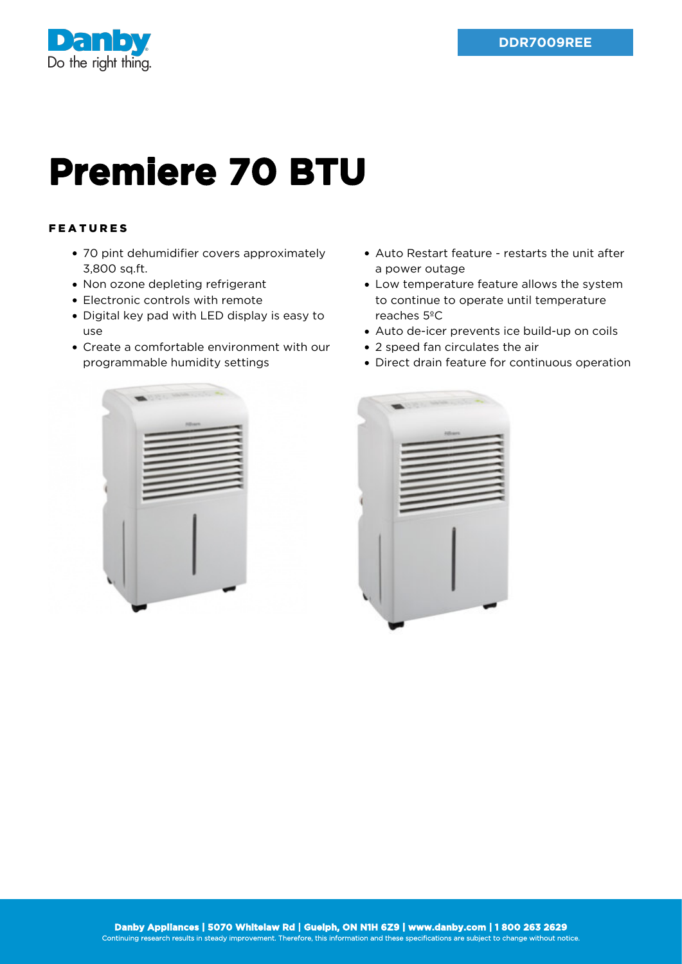

## **Premiere 70 BTU**

## FEATURES

- 70 pint dehumidifier covers approximately 3,800 sq.ft.
- Non ozone depleting refrigerant
- Electronic controls with remote
- Digital key pad with LED display is easy to use
- Create a comfortable environment with our programmable humidity settings
- Auto Restart feature restarts the unit after a power outage
- Low temperature feature allows the system to continue to operate until temperature reaches 5ºC
- Auto de-icer prevents ice build-up on coils
- 2 speed fan circulates the air
- Direct drain feature for continuous operation